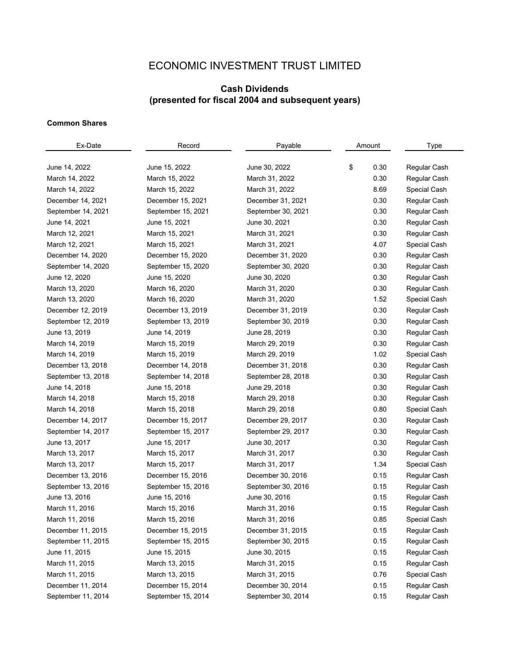## ECONOMIC INVESTMENT TRUST LIMITED

## **Cash Dividends (presented for fiscal 2004 and subsequent years)**

## **Common Shares**

| Ex-Date            | Record             | Payable            | Amount     | Type         |  |
|--------------------|--------------------|--------------------|------------|--------------|--|
|                    |                    |                    |            |              |  |
| June 14, 2022      | June 15, 2022      | June 30, 2022      | \$<br>0.30 | Regular Cash |  |
| March 14, 2022     | March 15, 2022     | March 31, 2022     | 0.30       | Regular Cash |  |
| March 14, 2022     | March 15, 2022     | March 31, 2022     | 8.69       | Special Cash |  |
| December 14, 2021  | December 15, 2021  | December 31, 2021  | 0.30       | Regular Cash |  |
| September 14, 2021 | September 15, 2021 | September 30, 2021 | 0.30       | Regular Cash |  |
| June 14, 2021      | June 15, 2021      | June 30, 2021      | 0.30       | Regular Cash |  |
| March 12, 2021     | March 15, 2021     | March 31, 2021     | 0.30       | Regular Cash |  |
| March 12, 2021     | March 15, 2021     | March 31, 2021     | 4.07       | Special Cash |  |
| December 14, 2020  | December 15, 2020  | December 31, 2020  | 0.30       | Regular Cash |  |
| September 14, 2020 | September 15, 2020 | September 30, 2020 | 0.30       | Regular Cash |  |
| June 12, 2020      | June 15, 2020      | June 30, 2020      | 0.30       | Regular Cash |  |
| March 13, 2020     | March 16, 2020     | March 31, 2020     | 0.30       | Regular Cash |  |
| March 13, 2020     | March 16, 2020     | March 31, 2020     | 1.52       | Special Cash |  |
| December 12, 2019  | December 13, 2019  | December 31, 2019  | 0.30       | Regular Cash |  |
| September 12, 2019 | September 13, 2019 | September 30, 2019 | 0.30       | Regular Cash |  |
| June 13, 2019      | June 14, 2019      | June 28, 2019      | 0.30       | Regular Cash |  |
| March 14, 2019     | March 15, 2019     | March 29, 2019     | 0.30       | Regular Cash |  |
| March 14, 2019     | March 15, 2019     | March 29, 2019     | 1.02       | Special Cash |  |
| December 13, 2018  | December 14, 2018  | December 31, 2018  | 0.30       | Regular Cash |  |
| September 13, 2018 | September 14, 2018 | September 28, 2018 | 0.30       | Regular Cash |  |
| June 14, 2018      | June 15, 2018      | June 29, 2018      | 0.30       | Regular Cash |  |
| March 14, 2018     | March 15, 2018     | March 29, 2018     | 0.30       | Regular Cash |  |
| March 14, 2018     | March 15, 2018     | March 29, 2018     | 0.80       | Special Cash |  |
| December 14, 2017  | December 15, 2017  | December 29, 2017  | 0.30       | Regular Cash |  |
| September 14, 2017 | September 15, 2017 | September 29, 2017 | 0.30       | Regular Cash |  |
| June 13, 2017      | June 15, 2017      | June 30, 2017      | 0.30       | Regular Cash |  |
| March 13, 2017     | March 15, 2017     | March 31, 2017     | 0.30       | Regular Cash |  |
| March 13, 2017     | March 15, 2017     | March 31, 2017     | 1.34       | Special Cash |  |
| December 13, 2016  | December 15, 2016  | December 30, 2016  | 0.15       | Regular Cash |  |
| September 13, 2016 | September 15, 2016 | September 30, 2016 | 0.15       | Regular Cash |  |
| June 13, 2016      | June 15, 2016      | June 30, 2016      | 0.15       | Regular Cash |  |
| March 11, 2016     | March 15, 2016     | March 31, 2016     | 0.15       | Regular Cash |  |
| March 11, 2016     | March 15, 2016     | March 31, 2016     | 0.85       | Special Cash |  |
| December 11, 2015  | December 15, 2015  | December 31, 2015  | 0.15       | Regular Cash |  |
| September 11, 2015 | September 15, 2015 | September 30, 2015 | 0.15       | Regular Cash |  |
| June 11, 2015      | June 15, 2015      | June 30, 2015      | 0.15       | Regular Cash |  |
| March 11, 2015     | March 13, 2015     | March 31, 2015     | 0.15       | Regular Cash |  |
| March 11, 2015     | March 13, 2015     | March 31, 2015     | 0.76       | Special Cash |  |
| December 11, 2014  | December 15, 2014  | December 30, 2014  | 0.15       | Regular Cash |  |
| September 11, 2014 | September 15, 2014 | September 30, 2014 | 0.15       | Regular Cash |  |
|                    |                    |                    |            |              |  |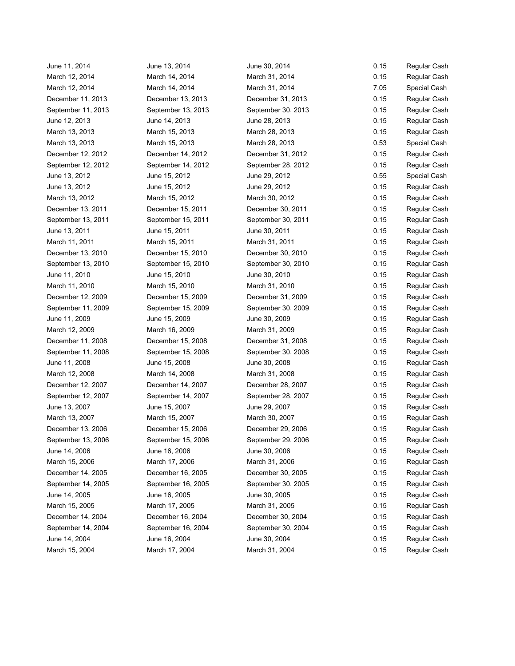June 11, 2014 June 13, 2014 June 30, 2014 0.15 Regular Cash March 12, 2014 March 14, 2014 March 31, 2014 March 31, 2014 0.15 Regular Cash March 12, 2014 March 14, 2014 March 31, 2014 March 31, 2014 7.05 Special Cash December 11, 2013 December 13, 2013 December 31, 2013 December 31, 2013 0.15 Regular Cash September 11, 2013 September 13, 2013 September 30, 2013 0.15 Regular Cash June 12, 2013 June 14, 2013 June 28, 2013 0.15 Regular Cash March 13, 2013 March 15, 2013 March 28, 2013 March 2001 13, 2016 Regular Cash March 13, 2013 March 15, 2013 March 28, 2013 0.53 Special Cash December 12, 2012 December 14, 2012 December 31, 2012 0.15 Regular Cash September 12, 2012 September 14, 2012 September 28, 2012 0.15 Regular Cash June 13, 2012 June 15, 2012 June 29, 2012 0.55 Special Cash June 13, 2012 June 15, 2012 June 29, 2012 0.15 Regular Cash March 13, 2012 **March 15, 2012** March 30, 2012 0.15 Regular Cash December 13, 2011 December 15, 2011 December 30, 2011 December 30, 2011 0.15 Regular Cash September 13, 2011 September 15, 2011 September 30, 2011 0.15 Regular Cash June 13, 2011 June 15, 2011 June 30, 2011 0.15 Regular Cash March 11, 2011 March 15, 2011 March 31, 2011 March 31, 2011 0.15 Regular Cash December 13, 2010 December 15, 2010 December 30, 2010 0.15 Regular Cash September 13, 2010 September 15, 2010 September 30, 2010 0.15 Regular Cash June 11, 2010 June 15, 2010 June 30, 2010 0.15 Regular Cash March 11, 2010 **March 15, 2010** March 31, 2010 **March 31, 2010** 0.15 Regular Cash December 12, 2009 December 15, 2009 December 31, 2009 0.15 Regular Cash September 11, 2009 September 15, 2009 September 30, 2009 0.15 Regular Cash June 11, 2009 June 15, 2009 June 30, 2009 0.15 Regular Cash March 12, 2009 March 16, 2009 March 31, 2009 March 31, 2009 0.15 Regular Cash December 11, 2008 December 15, 2008 December 31, 2008 0.15 Regular Cash September 11, 2008 September 15, 2008 September 30, 2008 0.15 Regular Cash June 11, 2008 June 15, 2008 June 30, 2008 0.15 Regular Cash March 12, 2008 March 14, 2008 March 31, 2008 0.15 Regular Cash December 12, 2007 December 14, 2007 December 28, 2007 0.15 Regular Cash September 12, 2007 September 14, 2007 September 28, 2007 0.15 Regular Cash June 13, 2007 June 15, 2007 June 29, 2007 0.15 Regular Cash March 13, 2007 **March 15, 2007** March 15, 2007 March 30, 2007 0.15 Regular Cash December 13, 2006 December 15, 2006 December 29, 2006 0.15 Regular Cash September 13, 2006 September 15, 2006 September 29, 2006 0.15 Regular Cash June 14, 2006 June 16, 2006 June 30, 2006 0.15 Regular Cash March 15, 2006 March 17, 2006 March 31, 2006 March 31, 2006 0.15 Regular Cash December 14, 2005 December 16, 2005 December 30, 2005 0.15 Regular Cash September 14, 2005 September 16, 2005 September 30, 2005 0.15 Regular Cash June 14, 2005 June 16, 2005 June 30, 2005 0.15 Regular Cash March 15, 2005 March 17, 2005 March 31, 2005 0.15 Regular Cash December 14, 2004 December 16, 2004 December 30, 2004 0.15 Regular Cash September 14, 2004 September 16, 2004 September 30, 2004 0.15 Regular Cash June 14, 2004 June 16, 2004 June 30, 2004 0.15 Regular Cash March 15, 2004 March 17, 2004 March 31, 2004 March 31, 2004 0.15 Regular Cash